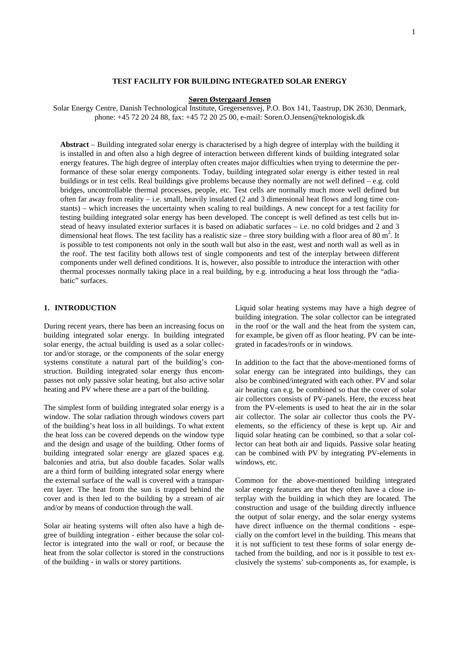# **TEST FACILITY FOR BUILDING INTEGRATED SOLAR ENERGY**

#### **Søren Østergaard Jensen**

Solar Energy Centre, Danish Technological Institute, Gregersensvej, P.O. Box 141, Taastrup, DK 2630, Denmark, phone: +45 72 20 24 88, fax: +45 72 20 25 00, e-mail: Soren.O.Jensen@teknologisk.dk

**Abstract** – Building integrated solar energy is characterised by a high degree of interplay with the building it is installed in and often also a high degree of interaction between different kinds of building integrated solar energy features. The high degree of interplay often creates major difficulties when trying to determine the performance of these solar energy components. Today, building integrated solar energy is either tested in real buildings or in test cells. Real buildings give problems because they normally are not well defined – e.g. cold bridges, uncontrollable thermal processes, people, etc. Test cells are normally much more well defined but often far away from reality – i.e. small, heavily insulated  $(2 \text{ and } 3 \text{ dimensional heat flows and long time con-}$ stants) – which increases the uncertainty when scaling to real buildings. A new concept for a test facility for testing building integrated solar energy has been developed. The concept is well defined as test cells but instead of heavy insulated exterior surfaces it is based on adiabatic surfaces – i.e. no cold bridges and 2 and 3 dimensional heat flows. The test facility has a realistic size – three story building with a floor area of 80  $m^2$ . It is possible to test components not only in the south wall but also in the east, west and north wall as well as in the roof. The test facility both allows test of single components and test of the interplay between different components under well defined conditions. It is, however, also possible to introduce the interaction with other thermal processes normally taking place in a real building, by e.g. introducing a heat loss through the "adiabatic" surfaces.

# **1. INTRODUCTION**

During recent years, there has been an increasing focus on building integrated solar energy. In building integrated solar energy, the actual building is used as a solar collector and/or storage, or the components of the solar energy systems constitute a natural part of the building's construction. Building integrated solar energy thus encompasses not only passive solar heating, but also active solar heating and PV where these are a part of the building.

The simplest form of building integrated solar energy is a window. The solar radiation through windows covers part of the building's heat loss in all buildings. To what extent the heat loss can be covered depends on the window type and the design and usage of the building. Other forms of building integrated solar energy are glazed spaces e.g. balconies and atria, but also double facades. Solar walls are a third form of building integrated solar energy where the external surface of the wall is covered with a transparent layer. The heat from the sun is trapped behind the cover and is then led to the building by a stream of air and/or by means of conduction through the wall.

Solar air heating systems will often also have a high degree of building integration - either because the solar collector is integrated into the wall or roof, or because the heat from the solar collector is stored in the constructions of the building - in walls or storey partitions.

Liquid solar heating systems may have a high degree of building integration. The solar collector can be integrated in the roof or the wall and the heat from the system can, for example, be given off as floor heating. PV can be integrated in facades/roofs or in windows.

In addition to the fact that the above-mentioned forms of solar energy can be integrated into buildings, they can also be combined/integrated with each other. PV and solar air heating can e.g. be combined so that the cover of solar air collectors consists of PV-panels. Here, the excess heat from the PV-elements is used to heat the air in the solar air collector. The solar air collector thus cools the PVelements, so the efficiency of these is kept up. Air and liquid solar heating can be combined, so that a solar collector can heat both air and liquids. Passive solar heating can be combined with PV by integrating PV-elements in windows, etc.

Common for the above-mentioned building integrated solar energy features are that they often have a close interplay with the building in which they are located. The construction and usage of the building directly influence the output of solar energy, and the solar energy systems have direct influence on the thermal conditions - especially on the comfort level in the building. This means that it is not sufficient to test these forms of solar energy detached from the building, and nor is it possible to test exclusively the systems' sub-components as, for example, is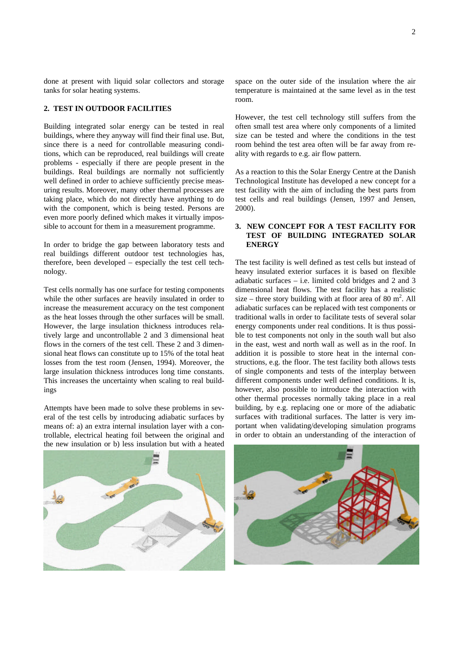done at present with liquid solar collectors and storage tanks for solar heating systems.

## **2. TEST IN OUTDOOR FACILITIES**

Building integrated solar energy can be tested in real buildings, where they anyway will find their final use. But, since there is a need for controllable measuring conditions, which can be reproduced, real buildings will create problems - especially if there are people present in the buildings. Real buildings are normally not sufficiently well defined in order to achieve sufficiently precise measuring results. Moreover, many other thermal processes are taking place, which do not directly have anything to do with the component, which is being tested. Persons are even more poorly defined which makes it virtually impossible to account for them in a measurement programme.

In order to bridge the gap between laboratory tests and real buildings different outdoor test technologies has, therefore, been developed – especially the test cell technology.

Test cells normally has one surface for testing components while the other surfaces are heavily insulated in order to increase the measurement accuracy on the test component as the heat losses through the other surfaces will be small. However, the large insulation thickness introduces relatively large and uncontrollable 2 and 3 dimensional heat flows in the corners of the test cell. These 2 and 3 dimensional heat flows can constitute up to 15% of the total heat losses from the test room (Jensen, 1994). Moreover, the large insulation thickness introduces long time constants. This increases the uncertainty when scaling to real buildings

Attempts have been made to solve these problems in several of the test cells by introducing adiabatic surfaces by means of: a) an extra internal insulation layer with a controllable, electrical heating foil between the original and the new insulation or b) less insulation but with a heated

space on the outer side of the insulation where the air temperature is maintained at the same level as in the test room.

However, the test cell technology still suffers from the often small test area where only components of a limited size can be tested and where the conditions in the test room behind the test area often will be far away from reality with regards to e.g. air flow pattern.

As a reaction to this the Solar Energy Centre at the Danish Technological Institute has developed a new concept for a test facility with the aim of including the best parts from test cells and real buildings (Jensen, 1997 and Jensen, 2000).

# **3. NEW CONCEPT FOR A TEST FACILITY FOR TEST OF BUILDING INTEGRATED SOLAR ENERGY**

The test facility is well defined as test cells but instead of heavy insulated exterior surfaces it is based on flexible adiabatic surfaces – i.e. limited cold bridges and 2 and 3 dimensional heat flows. The test facility has a realistic size – three story building with at floor area of 80  $m^2$ . All adiabatic surfaces can be replaced with test components or traditional walls in order to facilitate tests of several solar energy components under real conditions. It is thus possible to test components not only in the south wall but also in the east, west and north wall as well as in the roof. In addition it is possible to store heat in the internal constructions, e.g. the floor. The test facility both allows tests of single components and tests of the interplay between different components under well defined conditions. It is, however, also possible to introduce the interaction with other thermal processes normally taking place in a real building, by e.g. replacing one or more of the adiabatic surfaces with traditional surfaces. The latter is very important when validating/developing simulation programs in order to obtain an understanding of the interaction of



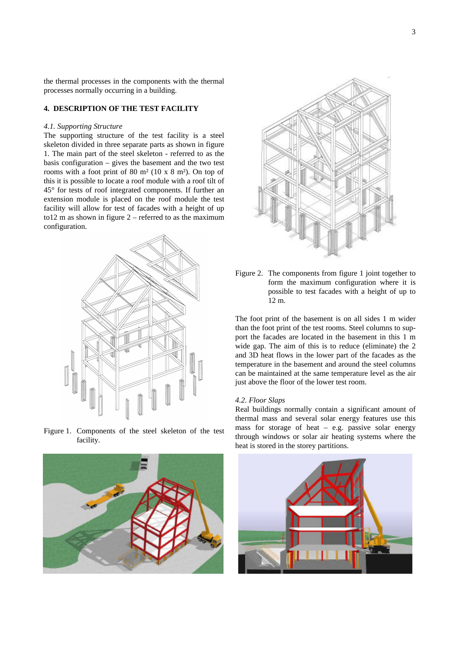the thermal processes in the components with the thermal processes normally occurring in a building.

## **4. DESCRIPTION OF THE TEST FACILITY**

#### *4.1. Supporting Structure*

The supporting structure of the test facility is a steel skeleton divided in three separate parts as shown in figure 1. The main part of the steel skeleton - referred to as the basis configuration – gives the basement and the two test rooms with a foot print of 80 m² (10 x 8 m²). On top of this it is possible to locate a roof module with a roof tilt of 45° for tests of roof integrated components. If further an extension module is placed on the roof module the test facility will allow for test of facades with a height of up to12 m as shown in figure  $2$  – referred to as the maximum configuration.



Figure 1. Components of the steel skeleton of the test facility.





Figure 2. The components from figure 1 joint together to form the maximum configuration where it is possible to test facades with a height of up to 12 m.

The foot print of the basement is on all sides 1 m wider than the foot print of the test rooms. Steel columns to support the facades are located in the basement in this 1 m wide gap. The aim of this is to reduce (eliminate) the 2 and 3D heat flows in the lower part of the facades as the temperature in the basement and around the steel columns can be maintained at the same temperature level as the air just above the floor of the lower test room.

#### *4.2. Floor Slaps*

Real buildings normally contain a significant amount of thermal mass and several solar energy features use this mass for storage of heat – e.g. passive solar energy through windows or solar air heating systems where the heat is stored in the storey partitions.

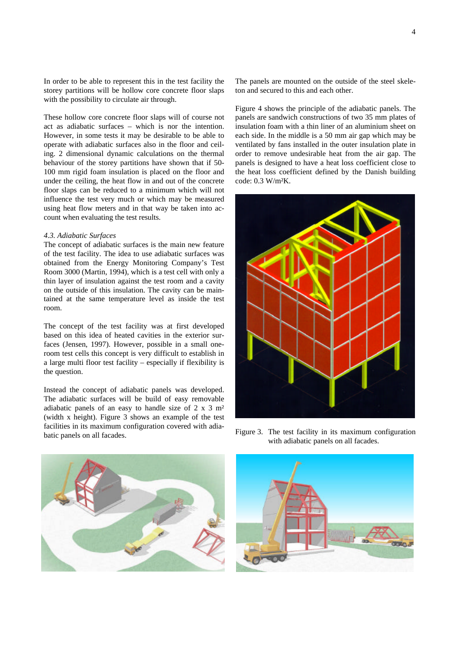In order to be able to represent this in the test facility the storey partitions will be hollow core concrete floor slaps with the possibility to circulate air through.

These hollow core concrete floor slaps will of course not act as adiabatic surfaces – which is nor the intention. However, in some tests it may be desirable to be able to operate with adiabatic surfaces also in the floor and ceiling. 2 dimensional dynamic calculations on the thermal behaviour of the storey partitions have shown that if 50- 100 mm rigid foam insulation is placed on the floor and under the ceiling, the heat flow in and out of the concrete floor slaps can be reduced to a minimum which will not influence the test very much or which may be measured using heat flow meters and in that way be taken into account when evaluating the test results.

#### *4.3. Adiabatic Surfaces*

The concept of adiabatic surfaces is the main new feature of the test facility. The idea to use adiabatic surfaces was obtained from the Energy Monitoring Company's Test Room 3000 (Martin, 1994), which is a test cell with only a thin layer of insulation against the test room and a cavity on the outside of this insulation. The cavity can be maintained at the same temperature level as inside the test room.

The concept of the test facility was at first developed based on this idea of heated cavities in the exterior surfaces (Jensen, 1997). However, possible in a small oneroom test cells this concept is very difficult to establish in a large multi floor test facility – especially if flexibility is the question.

Instead the concept of adiabatic panels was developed. The adiabatic surfaces will be build of easy removable adiabatic panels of an easy to handle size of 2 x 3 m² (width x height). Figure 3 shows an example of the test facilities in its maximum configuration covered with adiabatic panels on all facades.

The panels are mounted on the outside of the steel skeleton and secured to this and each other.

Figure 4 shows the principle of the adiabatic panels. The panels are sandwich constructions of two 35 mm plates of insulation foam with a thin liner of an aluminium sheet on each side. In the middle is a 50 mm air gap which may be ventilated by fans installed in the outer insulation plate in order to remove undesirable heat from the air gap. The panels is designed to have a heat loss coefficient close to the heat loss coefficient defined by the Danish building code: 0.3 W/m²K.





Figure 3. The test facility in its maximum configuration with adiabatic panels on all facades.

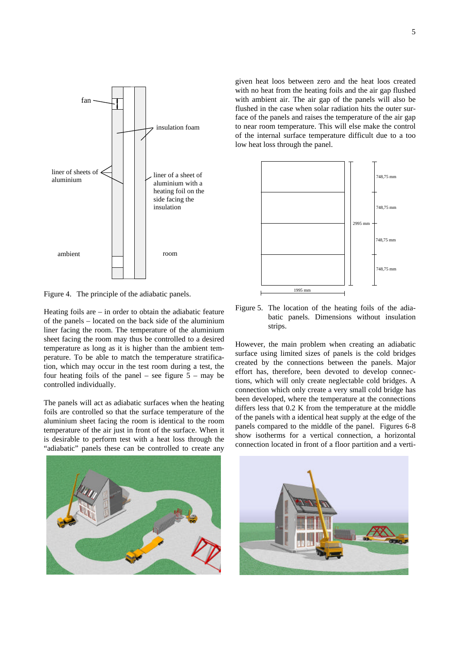

Figure 4. The principle of the adiabatic panels.

Heating foils are – in order to obtain the adiabatic feature of the panels – located on the back side of the aluminium liner facing the room. The temperature of the aluminium sheet facing the room may thus be controlled to a desired temperature as long as it is higher than the ambient temperature. To be able to match the temperature stratification, which may occur in the test room during a test, the four heating foils of the panel – see figure  $5 -$  may be controlled individually.

The panels will act as adiabatic surfaces when the heating foils are controlled so that the surface temperature of the aluminium sheet facing the room is identical to the room temperature of the air just in front of the surface. When it is desirable to perform test with a heat loss through the "adiabatic" panels these can be controlled to create any

given heat loos between zero and the heat loos created with no heat from the heating foils and the air gap flushed with ambient air. The air gap of the panels will also be flushed in the case when solar radiation hits the outer surface of the panels and raises the temperature of the air gap to near room temperature. This will else make the control of the internal surface temperature difficult due to a too low heat loss through the panel.



Figure 5. The location of the heating foils of the adiabatic panels. Dimensions without insulation strips.

However, the main problem when creating an adiabatic surface using limited sizes of panels is the cold bridges created by the connections between the panels. Major effort has, therefore, been devoted to develop connections, which will only create neglectable cold bridges. A connection which only create a very small cold bridge has been developed, where the temperature at the connections differs less that 0.2 K from the temperature at the middle of the panels with a identical heat supply at the edge of the panels compared to the middle of the panel. Figures 6-8 show isotherms for a vertical connection, a horizontal connection located in front of a floor partition and a verti-



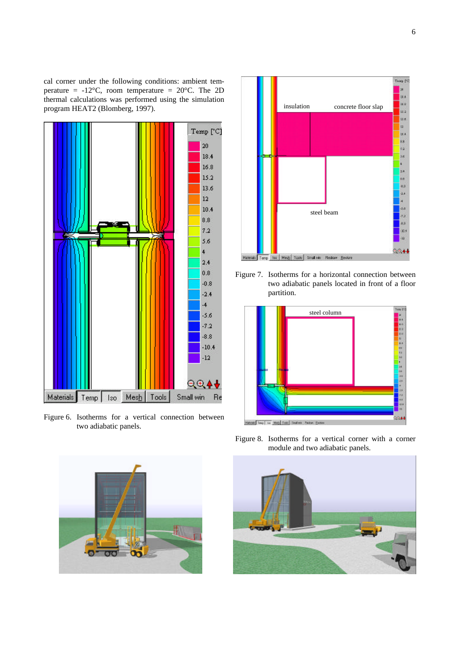cal corner under the following conditions: ambient temperature =  $-12^{\circ}$ C, room temperature =  $20^{\circ}$ C. The 2D thermal calculations was performed using the simulation program HEAT2 (Blomberg, 1997).



Figure 6. Isotherms for a vertical connection between two adiabatic panels.



Figure 7. Isotherms for a horizontal connection between two adiabatic panels located in front of a floor partition.



Figure 8. Isotherms for a vertical corner with a corner module and two adiabatic panels.